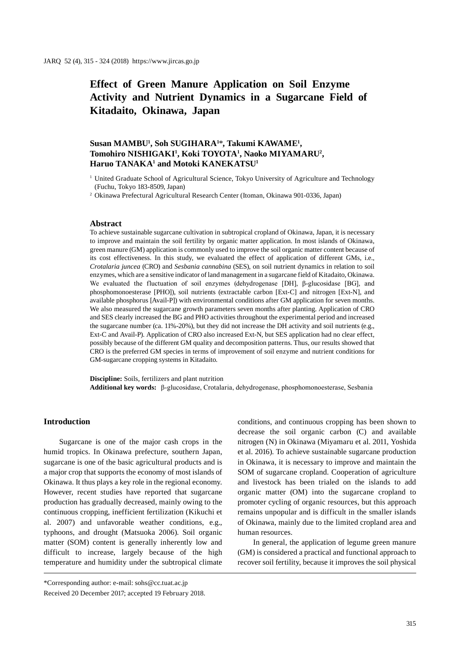# **Effect of Green Manure Application on Soil Enzyme Activity and Nutrient Dynamics in a Sugarcane Field of Kitadaito, Okinawa, Japan**

# **Susan MAMBU1 , Soh SUGIHARA1** \***, Takumi KAWAME1 , Tomohiro NISHIGAKI1 , Koki TOYOTA1 , Naoko MIYAMARU2 , Haruo TANAKA1 and Motoki KANEKATSU1**

2 Okinawa Prefectural Agricultural Research Center (Itoman, Okinawa 901-0336, Japan)

#### **Abstract**

To achieve sustainable sugarcane cultivation in subtropical cropland of Okinawa, Japan, it is necessary to improve and maintain the soil fertility by organic matter application. In most islands of Okinawa, green manure (GM) application is commonly used to improve the soil organic matter content because of its cost effectiveness. In this study, we evaluated the effect of application of different GMs, i.e., *Crotalaria juncea* (CRO) and *Sesbania cannabina* (SES), on soil nutrient dynamics in relation to soil enzymes, which are a sensitive indicator of land management in a sugarcane field of Kitadaito, Okinawa. We evaluated the fluctuation of soil enzymes (dehydrogenase [DH], β-glucosidase [BG], and phosphomonoesterase [PHO]), soil nutrients (extractable carbon [Ext-C] and nitrogen [Ext-N], and available phosphorus [Avail-P]) with environmental conditions after GM application for seven months. We also measured the sugarcane growth parameters seven months after planting. Application of CRO and SES clearly increased the BG and PHO activities throughout the experimental period and increased the sugarcane number (ca. 11%-20%), but they did not increase the DH activity and soil nutrients (e.g., Ext-C and Avail-P). Application of CRO also increased Ext-N, but SES application had no clear effect, possibly because of the different GM quality and decomposition patterns. Thus, our results showed that CRO is the preferred GM species in terms of improvement of soil enzyme and nutrient conditions for GM-sugarcane cropping systems in Kitadaito.

**Discipline:** Soils, fertilizers and plant nutrition **Additional key words:** β-glucosidase, Crotalaria, dehydrogenase, phosphomonoesterase, Sesbania

# **Introduction**

Sugarcane is one of the major cash crops in the humid tropics. In Okinawa prefecture, southern Japan, sugarcane is one of the basic agricultural products and is a major crop that supports the economy of most islands of Okinawa. It thus plays a key role in the regional economy. However, recent studies have reported that sugarcane production has gradually decreased, mainly owing to the continuous cropping, inefficient fertilization (Kikuchi et al. 2007) and unfavorable weather conditions, e.g., typhoons, and drought (Matsuoka 2006). Soil organic matter (SOM) content is generally inherently low and difficult to increase, largely because of the high temperature and humidity under the subtropical climate

conditions, and continuous cropping has been shown to decrease the soil organic carbon (C) and available nitrogen (N) in Okinawa (Miyamaru et al. 2011, Yoshida et al. 2016). To achieve sustainable sugarcane production in Okinawa, it is necessary to improve and maintain the SOM of sugarcane cropland. Cooperation of agriculture and livestock has been trialed on the islands to add organic matter (OM) into the sugarcane cropland to promoter cycling of organic resources, but this approach remains unpopular and is difficult in the smaller islands of Okinawa, mainly due to the limited cropland area and human resources.

In general, the application of legume green manure (GM) is considered a practical and functional approach to recover soil fertility, because it improves the soil physical

<sup>&</sup>lt;sup>1</sup> United Graduate School of Agricultural Science, Tokyo University of Agriculture and Technology (Fuchu, Tokyo 183-8509, Japan)

<sup>\*</sup>Corresponding author: e-mail: sohs@cc.tuat.ac.jp Received 20 December 2017; accepted 19 February 2018.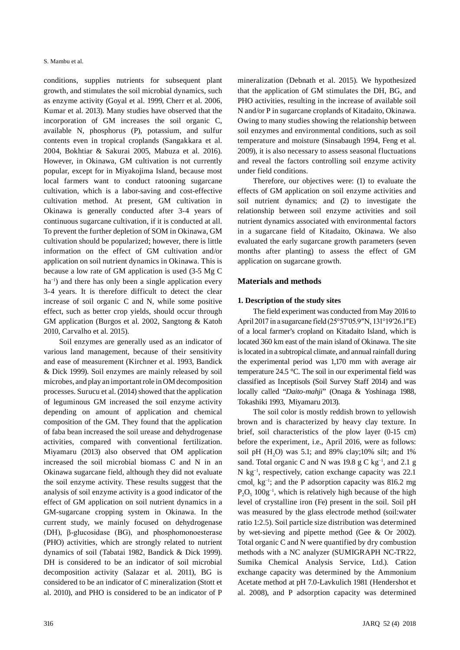conditions, supplies nutrients for subsequent plant growth, and stimulates the soil microbial dynamics, such as enzyme activity (Goyal et al. 1999, Cherr et al. 2006, Kumar et al. 2013). Many studies have observed that the incorporation of GM increases the soil organic C, available N, phosphorus (P), potassium, and sulfur contents even in tropical croplands (Sangakkara et al. 2004, Bokhtiar & Sakurai 2005, Mabuza et al. 2016). However, in Okinawa, GM cultivation is not currently popular, except for in Miyakojima Island, because most local farmers want to conduct ratooning sugarcane cultivation, which is a labor-saving and cost-effective cultivation method. At present, GM cultivation in Okinawa is generally conducted after 3-4 years of continuous sugarcane cultivation, if it is conducted at all. To prevent the further depletion of SOM in Okinawa, GM cultivation should be popularized; however, there is little information on the effect of GM cultivation and/or application on soil nutrient dynamics in Okinawa. This is because a low rate of GM application is used (3-5 Mg C ha<sup>-1</sup>) and there has only been a single application every 3-4 years. It is therefore difficult to detect the clear increase of soil organic C and N, while some positive effect, such as better crop yields, should occur through GM application (Burgos et al. 2002, Sangtong & Katoh 2010, Carvalho et al. 2015).

Soil enzymes are generally used as an indicator of various land management, because of their sensitivity and ease of measurement (Kirchner et al. 1993, Bandick & Dick 1999). Soil enzymes are mainly released by soil microbes, and play an important role in OM decomposition processes. Surucu et al. (2014) showed that the application of leguminous GM increased the soil enzyme activity depending on amount of application and chemical composition of the GM. They found that the application of faba bean increased the soil urease and dehydrogenase activities, compared with conventional fertilization. Miyamaru (2013) also observed that OM application increased the soil microbial biomass C and N in an Okinawa sugarcane field, although they did not evaluate the soil enzyme activity. These results suggest that the analysis of soil enzyme activity is a good indicator of the effect of GM application on soil nutrient dynamics in a GM-sugarcane cropping system in Okinawa. In the current study, we mainly focused on dehydrogenase (DH), β-glucosidase (BG), and phosphomonoesterase (PHO) activities, which are strongly related to nutrient dynamics of soil (Tabatai 1982, Bandick & Dick 1999). DH is considered to be an indicator of soil microbial decomposition activity (Salazar et al. 2011), BG is considered to be an indicator of C mineralization (Stott et al. 2010), and PHO is considered to be an indicator of P mineralization (Debnath et al. 2015). We hypothesized that the application of GM stimulates the DH, BG, and PHO activities, resulting in the increase of available soil N and/or P in sugarcane croplands of Kitadaito, Okinawa. Owing to many studies showing the relationship between soil enzymes and environmental conditions, such as soil temperature and moisture (Sinsabaugh 1994, Feng et al. 2009), it is also necessary to assess seasonal fluctuations and reveal the factors controlling soil enzyme activity under field conditions.

Therefore, our objectives were: (1) to evaluate the effects of GM application on soil enzyme activities and soil nutrient dynamics; and (2) to investigate the relationship between soil enzyme activities and soil nutrient dynamics associated with environmental factors in a sugarcane field of Kitadaito, Okinawa. We also evaluated the early sugarcane growth parameters (seven months after planting) to assess the effect of GM application on sugarcane growth.

#### **Materials and methods**

#### **1. Description of the study sites**

The field experiment was conducted from May 2016 to April 2017 in a sugarcane field (25°57ʹ05.9″N, 131°19ʹ26.1″E) of a local farmer's cropland on Kitadaito Island, which is located 360 km east of the main island of Okinawa. The site is located in a subtropical climate, and annual rainfall during the experimental period was 1,170 mm with average air temperature 24.5 °C. The soil in our experimental field was classified as Inceptisols (Soil Survey Staff 2014) and was locally called "*Daito-mahji*" (Onaga & Yoshinaga 1988, Tokashiki 1993, Miyamaru 2013).

The soil color is mostly reddish brown to yellowish brown and is characterized by heavy clay texture. In brief, soil characteristics of the plow layer (0-15 cm) before the experiment, i.e., April 2016, were as follows: soil pH  $(H<sub>2</sub>O)$  was 5.1; and 89% clay;10% silt; and 1% sand. Total organic C and N was 19.8 g C kg<sup>-1</sup>, and 2.1 g N kg−1, respectively, cation exchange capacity was 22.1 cmol<sub>c</sub> kg<sup>-1</sup>; and the P adsorption capacity was 816.2 mg  $P_2O_5$  100g<sup>-1</sup>, which is relatively high because of the high level of crystalline iron (Fe) present in the soil. Soil pH was measured by the glass electrode method (soil:water ratio 1:2.5). Soil particle size distribution was determined by wet-sieving and pipette method (Gee & Or 2002). Total organic C and N were quantified by dry combustion methods with a NC analyzer (SUMIGRAPH NC-TR22, Sumika Chemical Analysis Service, Ltd.). Cation exchange capacity was determined by the Ammonium Acetate method at pH 7.0-Lavkulich 1981 (Hendershot et al. 2008), and P adsorption capacity was determined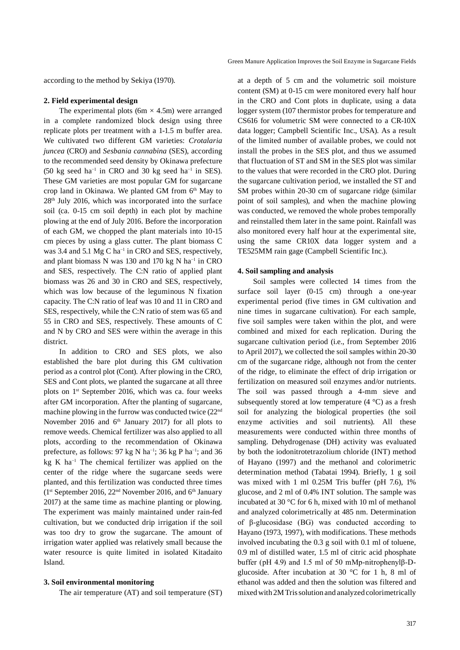according to the method by Sekiya (1970).

#### **2. Field experimental design**

The experimental plots  $(6m \times 4.5m)$  were arranged in a complete randomized block design using three replicate plots per treatment with a 1-1.5 m buffer area. We cultivated two different GM varieties: *Crotalaria juncea* (CRO) and *Sesbania cannabina* (SES), according to the recommended seed density by Okinawa prefecture (50 kg seed ha<sup>-1</sup> in CRO and 30 kg seed ha<sup>-1</sup> in SES). These GM varieties are most popular GM for sugarcane crop land in Okinawa. We planted GM from 6<sup>th</sup> May to 28th July 2016, which was incorporated into the surface soil (ca. 0-15 cm soil depth) in each plot by machine plowing at the end of July 2016. Before the incorporation of each GM, we chopped the plant materials into 10-15 cm pieces by using a glass cutter. The plant biomass C was 3.4 and 5.1 Mg C ha<sup>−1</sup> in CRO and SES, respectively, and plant biomass N was 130 and 170 kg N ha<sup>-1</sup> in CRO and SES, respectively. The C:N ratio of applied plant biomass was 26 and 30 in CRO and SES, respectively, which was low because of the leguminous N fixation capacity. The C:N ratio of leaf was 10 and 11 in CRO and SES, respectively, while the C:N ratio of stem was 65 and 55 in CRO and SES, respectively. These amounts of C and N by CRO and SES were within the average in this district.

In addition to CRO and SES plots, we also established the bare plot during this GM cultivation period as a control plot (Cont). After plowing in the CRO, SES and Cont plots, we planted the sugarcane at all three plots on 1st September 2016, which was ca. four weeks after GM incorporation. After the planting of sugarcane, machine plowing in the furrow was conducted twice (22nd November 2016 and  $6<sup>th</sup>$  January 2017) for all plots to remove weeds. Chemical fertilizer was also applied to all plots, according to the recommendation of Okinawa prefecture, as follows: 97 kg N ha<sup>-1</sup>; 36 kg P ha<sup>-1</sup>; and 36 kg K ha−1 The chemical fertilizer was applied on the center of the ridge where the sugarcane seeds were planted, and this fertilization was conducted three times (1st September 2016, 22nd November 2016, and 6th January 2017) at the same time as machine planting or plowing. The experiment was mainly maintained under rain-fed cultivation, but we conducted drip irrigation if the soil was too dry to grow the sugarcane. The amount of irrigation water applied was relatively small because the water resource is quite limited in isolated Kitadaito Island.

#### **3. Soil environmental monitoring**

The air temperature (AT) and soil temperature (ST)

at a depth of 5 cm and the volumetric soil moisture content (SM) at 0-15 cm were monitored every half hour in the CRO and Cont plots in duplicate, using a data logger system (107 thermistor probes for temperature and CS616 for volumetric SM were connected to a CR-10X data logger; Campbell Scientific Inc., USA). As a result of the limited number of available probes, we could not install the probes in the SES plot, and thus we assumed that fluctuation of ST and SM in the SES plot was similar to the values that were recorded in the CRO plot. During the sugarcane cultivation period, we installed the ST and SM probes within 20-30 cm of sugarcane ridge (similar point of soil samples), and when the machine plowing was conducted, we removed the whole probes temporally and reinstalled them later in the same point. Rainfall was also monitored every half hour at the experimental site, using the same CR10X data logger system and a TE525MM rain gage (Campbell Scientific Inc.).

#### **4. Soil sampling and analysis**

Soil samples were collected 14 times from the surface soil layer (0-15 cm) through a one-year experimental period (five times in GM cultivation and nine times in sugarcane cultivation). For each sample, five soil samples were taken within the plot, and were combined and mixed for each replication. During the sugarcane cultivation period (i.e., from September 2016 to April 2017), we collected the soil samples within 20-30 cm of the sugarcane ridge, although not from the center of the ridge, to eliminate the effect of drip irrigation or fertilization on measured soil enzymes and/or nutrients. The soil was passed through a 4-mm sieve and subsequently stored at low temperature  $(4 \degree C)$  as a fresh soil for analyzing the biological properties (the soil enzyme activities and soil nutrients). All these measurements were conducted within three months of sampling. Dehydrogenase (DH) activity was evaluated by both the iodonitrotetrazolium chloride (INT) method of Hayano (1997) and the methanol and colorimetric determination method (Tabatai 1994). Briefly, 1 g soil was mixed with 1 ml 0.25M Tris buffer (pH 7.6), 1% glucose, and 2 ml of 0.4% INT solution. The sample was incubated at 30 °C for 6 h, mixed with 10 ml of methanol and analyzed colorimetrically at 485 nm. Determination of β-glucosidase (BG) was conducted according to Hayano (1973, 1997), with modifications. These methods involved incubating the 0.3 g soil with 0.1 ml of toluene, 0.9 ml of distilled water, 1.5 ml of citric acid phosphate buffer (pH 4.9) and 1.5 ml of 50 mMp-nitrophenylβ-Dglucoside. After incubation at 30 °C for 1 h, 8 ml of ethanol was added and then the solution was filtered and mixed with 2M Tris solution and analyzed colorimetrically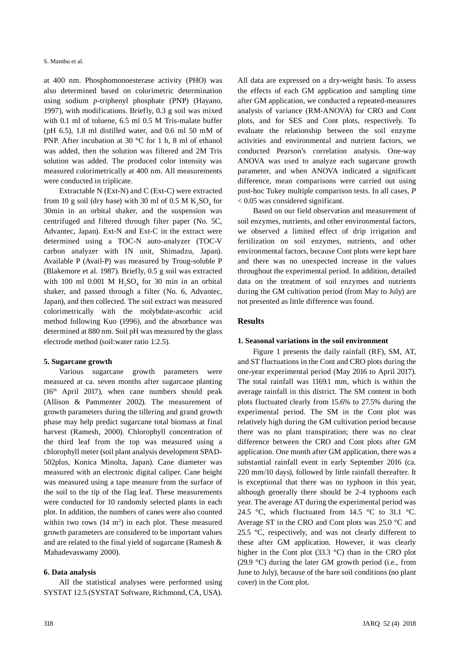S. Mambu et al.

at 400 nm. Phosphomonoesterase activity (PHO) was also determined based on colorimetric determination using sodium *p*-triphenyl phosphate (PNP) (Hayano, 1997), with modifications. Briefly, 0.3 g soil was mixed with 0.1 ml of toluene, 6.5 ml 0.5 M Tris-malate buffer (pH  $6.5$ ), 1.8 ml distilled water, and 0.6 ml 50 mM of PNP. After incubation at 30 °C for 1 h, 8 ml of ethanol was added, then the solution was filtered and 2M Tris solution was added. The produced color intensity was measured colorimetrically at 400 nm. All measurements were conducted in triplicate.

Extractable N (Ext-N) and C (Ext-C) were extracted from 10 g soil (dry base) with 30 ml of 0.5 M  $K_2SO_4$  for 30min in an orbital shaker, and the suspension was centrifuged and filtered through filter paper (No. 5C, Advantec, Japan). Ext-N and Ext-C in the extract were determined using a TOC-N auto-analyzer (TOC-V carbon analyzer with IN unit, Shimadzu, Japan). Available P (Avail-P) was measured by Troug-soluble P (Blakemore et al. 1987). Briefly, 0.5 g soil was extracted with 100 ml 0.001 M  $H_2SO_4$  for 30 min in an orbital shaker, and passed through a filter (No. 6, Advantec, Japan), and then collected. The soil extract was measured colorimetrically with the molybdate-ascorbic acid method following Kuo (1996), and the absorbance was determined at 880 nm. Soil pH was measured by the glass electrode method (soil:water ratio 1:2.5).

## **5. Sugarcane growth**

Various sugarcane growth parameters were measured at ca. seven months after sugarcane planting  $(16<sup>th</sup>$  April 2017), when cane numbers should peak (Allison & Pammenter 2002). The measurement of growth parameters during the tillering and grand growth phase may help predict sugarcane total biomass at final harvest (Ramesh, 2000). Chlorophyll concentration of the third leaf from the top was measured using a chlorophyll meter (soil plant analysis development SPAD-502plus, Konica Minolta, Japan). Cane diameter was measured with an electronic digital caliper. Cane height was measured using a tape measure from the surface of the soil to the tip of the flag leaf. These measurements were conducted for 10 randomly selected plants in each plot. In addition, the numbers of canes were also counted within two rows  $(14 \text{ m}^2)$  in each plot. These measured growth parameters are considered to be important values and are related to the final yield of sugarcane (Ramesh & Mahadevaswamy 2000).

## **6. Data analysis**

All the statistical analyses were performed using SYSTAT 12.5 (SYSTAT Software, Richmond, CA, USA). All data are expressed on a dry-weight basis. To assess the effects of each GM application and sampling time after GM application, we conducted a repeated-measures analysis of variance (RM-ANOVA) for CRO and Cont plots, and for SES and Cont plots, respectively. To evaluate the relationship between the soil enzyme activities and environmental and nutrient factors, we conducted Pearson's correlation analysis. One-way ANOVA was used to analyze each sugarcane growth parameter, and when ANOVA indicated a significant difference, mean comparisons were carried out using post-hoc Tukey multiple comparison tests. In all cases, *P*  < 0.05 was considered significant.

Based on our field observation and measurement of soil enzymes, nutrients, and other environmental factors, we observed a limited effect of drip irrigation and fertilization on soil enzymes, nutrients, and other environmental factors, because Cont plots were kept bare and there was no unexpected increase in the values throughout the experimental period. In addition, detailed data on the treatment of soil enzymes and nutrients during the GM cultivation period (from May to July) are not presented as little difference was found.

## **Results**

## **1. Seasonal variations in the soil environment**

Figure 1 presents the daily rainfall (RF), SM, AT, and ST fluctuations in the Cont and CRO plots during the one-year experimental period (May 2016 to April 2017). The total rainfall was 1169.1 mm, which is within the average rainfall in this district. The SM content in both plots fluctuated clearly from 15.6% to 27.5% during the experimental period. The SM in the Cont plot was relatively high during the GM cultivation period because there was no plant transpiration; there was no clear difference between the CRO and Cont plots after GM application. One month after GM application, there was a substantial rainfall event in early September 2016 (ca. 220 mm/10 days), followed by little rainfall thereafter. It is exceptional that there was no typhoon in this year, although generally there should be 2-4 typhoons each year. The average AT during the experimental period was 24.5 °C, which fluctuated from 14.5 °C to 31.1 °C. Average ST in the CRO and Cont plots was 25.0 °C and 25.5 °C, respectively, and was not clearly different to these after GM application. However, it was clearly higher in the Cont plot (33.3 °C) than in the CRO plot (29.9 °C) during the later GM growth period (i.e., from June to July), because of the bare soil conditions (no plant cover) in the Cont plot.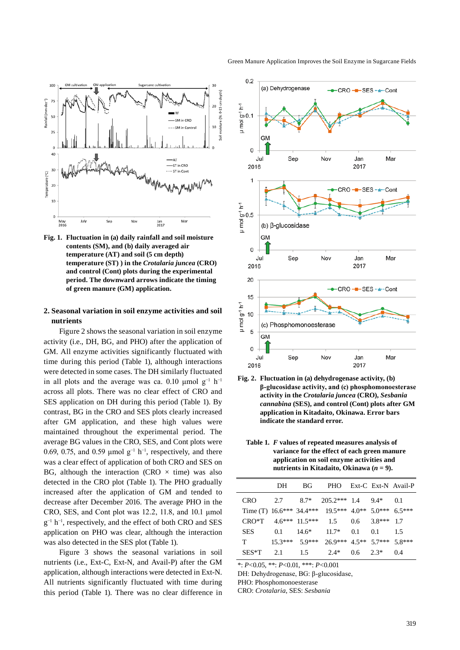

**Fig. 1. Fluctuation in (a) daily rainfall and soil moisture contents (SM), and (b) daily averaged air temperature (AT) and soil (5 cm depth) temperature (ST) ) in the** *Crotalaria juncea* **(CRO) and control (Cont) plots during the experimental period. The downward arrows indicate the timing of green manure (GM) application.**

#### **2. Seasonal variation in soil enzyme activities and soil nutrients**

Figure 2 shows the seasonal variation in soil enzyme activity (i.e., DH, BG, and PHO) after the application of GM. All enzyme activities significantly fluctuated with time during this period (Table 1), although interactions were detected in some cases. The DH similarly fluctuated in all plots and the average was ca. 0.10 μmol  $g^{-1}$  h<sup>-1</sup> across all plots. There was no clear effect of CRO and SES application on DH during this period (Table 1). By contrast, BG in the CRO and SES plots clearly increased after GM application, and these high values were maintained throughout the experimental period. The average BG values in the CRO, SES, and Cont plots were 0.69, 0.75, and 0.59 µmol  $g^{-1}$  h<sup>-1</sup>, respectively, and there was a clear effect of application of both CRO and SES on BG, although the interaction (CRO  $\times$  time) was also detected in the CRO plot (Table 1). The PHO gradually increased after the application of GM and tended to decrease after December 2016. The average PHO in the CRO, SES, and Cont plot was 12.2, 11.8, and 10.1 μmol g<sup>-1</sup> h<sup>-1</sup>, respectively, and the effect of both CRO and SES application on PHO was clear, although the interaction was also detected in the SES plot (Table 1).

Figure 3 shows the seasonal variations in soil nutrients (i.e., Ext-C, Ext-N, and Avail-P) after the GM application, although interactions were detected in Ext-N. All nutrients significantly fluctuated with time during this period (Table 1). There was no clear difference in



**Fig. 2. Fluctuation in (a) dehydrogenase activity, (b) β-glucosidase activity, and (c) phosphomonoesterase activity in the** *Crotalaria juncea* **(CRO),** *Sesbania cannabina* **(SES), and control (Cont) plots after GM application in Kitadaito, Okinawa. Error bars indicate the standard error.**

2017

#### **Table 1.** *F* **values of repeated measures analysis of variance for the effect of each green manure application on soil enzyme activities and**  nutrients in Kitadaito, Okinawa  $(n = 9)$ .

|            | DH. | BG.                  | <b>PHO</b>                                        |               |          | Ext-C Ext-N Avail-P |
|------------|-----|----------------------|---------------------------------------------------|---------------|----------|---------------------|
| <b>CRO</b> | 2.7 |                      | $8.7^*$ 205.2*** 1.4                              |               | 9.4*     | 0.1                 |
|            |     |                      | Time (T) $16.6***34.4***19.5***4.0**5.0***6.5***$ |               |          |                     |
| CRO*T      |     | $4.6***$ 11.5*** 1.5 |                                                   | $0.6^{\circ}$ | $3.8***$ | 17                  |
| <b>SES</b> | 0.1 | $14.6*$              | $11.7*$                                           | 0.1           | 0.1      | 1.5                 |
| T          |     |                      | $15.3***$ 5.9*** 26.9*** 4.5** 5.7*** 5.8***      |               |          |                     |
| $SES*T$    | 2.1 | 1.5                  | 2.4*                                              | $0.6^{\circ}$ | $2.3*$   | 0.4                 |

\*: *P*<0.05, \*\*: *P*<0.01, \*\*\*: *P*<0.001

DH: Dehydrogenase, BG: β-glucosidase,

PHO: Phosphomonoesterase

2016

CRO: *Crotalaria*, SES: *Sesbania*

Green Manure Application Improves the Soil Enzyme in Sugarcane Fields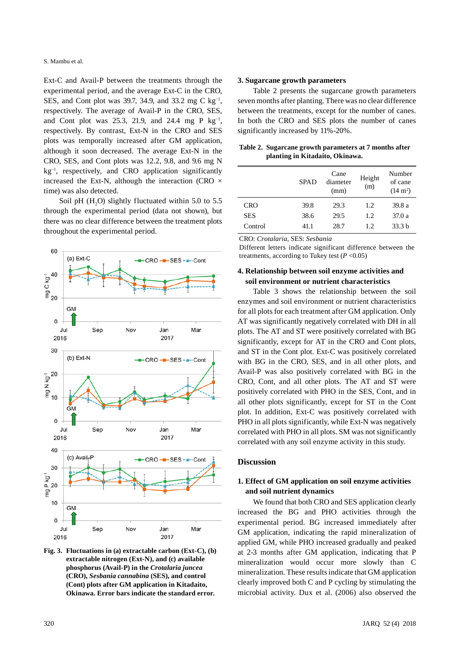S. Mambu et al.

Ext-C and Avail-P between the treatments through the experimental period, and the average Ext-C in the CRO, SES, and Cont plot was 39.7, 34.9, and 33.2 mg C kg<sup>-1</sup>, respectively. The average of Avail-P in the CRO, SES, and Cont plot was 25.3, 21.9, and 24.4 mg P  $kg^{-1}$ , respectively. By contrast, Ext-N in the CRO and SES plots was temporally increased after GM application, although it soon decreased. The average Ext-N in the CRO, SES, and Cont plots was 12.2, 9.8, and 9.6 mg N kg−1, respectively, and CRO application significantly increased the Ext-N, although the interaction (CRO  $\times$ time) was also detected.

Soil pH  $(H<sub>2</sub>O)$  slightly fluctuated within 5.0 to 5.5 through the experimental period (data not shown), but there was no clear difference between the treatment plots throughout the experimental period.



**Fig. 3. Fluctuations in (a) extractable carbon (Ext-C), (b) extractable nitrogen (Ext-N), and (c) available phosphorus (Avail-P) in the** *Crotalaria juncea* **(CRO),** *Sesbania cannabina* **(SES), and control (Cont) plots after GM application in Kitadaito, Okinawa. Error bars indicate the standard error.**

#### **3. Sugarcane growth parameters**

Table 2 presents the sugarcane growth parameters seven months after planting. There was no clear difference between the treatments, except for the number of canes. In both the CRO and SES plots the number of canes significantly increased by 11%-20%.

**Table 2. Sugarcane growth parameters at 7 months after planting in Kitadaito, Okinawa.**

|            | <b>SPAD</b> | Cane<br>diameter<br>(mm) | Height<br>(m) | Number<br>of cane<br>$(14 \text{ m}^2)$ |
|------------|-------------|--------------------------|---------------|-----------------------------------------|
| <b>CRO</b> | 39.8        | 29.3                     | 1.2           | 39.8 a                                  |
| <b>SES</b> | 38.6        | 29.5                     | 1.2           | 37.0 a                                  |
| Control    | 41.1        | 28.7                     | 1.2.          | 33.3 <sub>b</sub>                       |

CRO: *Crotalaria*, SES: *Sesbania*

Different letters indicate significant difference between the treatments, according to Tukey test  $(P < 0.05)$ 

## **4. Relationship between soil enzyme activities and soil environment or nutrient characteristics**

Table 3 shows the relationship between the soil enzymes and soil environment or nutrient characteristics for all plots for each treatment after GM application. Only AT was significantly negatively correlated with DH in all plots. The AT and ST were positively correlated with BG significantly, except for AT in the CRO and Cont plots, and ST in the Cont plot. Ext-C was positively correlated with BG in the CRO, SES, and in all other plots, and Avail-P was also positively correlated with BG in the CRO, Cont, and all other plots. The AT and ST were positively correlated with PHO in the SES, Cont, and in all other plots significantly, except for ST in the Cont plot. In addition, Ext-C was positively correlated with PHO in all plots significantly, while Ext-N was negatively correlated with PHO in all plots. SM was not significantly correlated with any soil enzyme activity in this study.

#### **Discussion**

## **1. Effect of GM application on soil enzyme activities and soil nutrient dynamics**

We found that both CRO and SES application clearly increased the BG and PHO activities through the experimental period. BG increased immediately after GM application, indicating the rapid mineralization of applied GM, while PHO increased gradually and peaked at 2-3 months after GM application, indicating that P mineralization would occur more slowly than C mineralization. These results indicate that GM application clearly improved both C and P cycling by stimulating the microbial activity. Dux et al. (2006) also observed the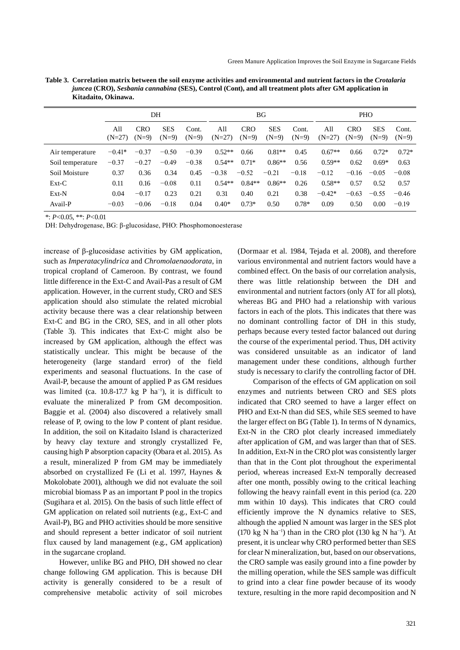| <b>PHO</b>                                                         |  |  |
|--------------------------------------------------------------------|--|--|
| <b>CRO</b><br><b>SES</b><br>Cont.<br>$(N=9)$<br>$(N=9)$<br>$(N=9)$ |  |  |
| $0.72*$<br>$0.72*$<br>0.66                                         |  |  |
| $0.59**$<br>$0.69*$<br>0.62<br>0.63                                |  |  |
| $-0.16$<br>$-0.05$<br>$-0.08$                                      |  |  |
| $0.58**$<br>0.57<br>0.52<br>0.57                                   |  |  |
| $-0.63$<br>$-0.55$<br>$-0.46$                                      |  |  |
| 0.50<br>0.00<br>$-0.19$                                            |  |  |
| $(N=27)$<br>$0.67**$<br>$-0.42*$                                   |  |  |

**Table 3. Correlation matrix between the soil enzyme activities and environmental and nutrient factors in the** *Crotalaria juncea* **(CRO),** *Sesbania cannabina* **(SES), Control (Cont), and all treatment plots after GM application in Kitadaito, Okinawa.**

\*: *P*<0.05, \*\*: *P*<0.01

DH: Dehydrogenase, BG: β-glucosidase, PHO: Phosphomonoesterase

increase of β-glucosidase activities by GM application, such as *Imperatacylindrica* and *Chromolaenaodorata*, in tropical cropland of Cameroon. By contrast, we found little difference in the Ext-C and Avail-Pas a result of GM application. However, in the current study, CRO and SES application should also stimulate the related microbial activity because there was a clear relationship between Ext-C and BG in the CRO, SES, and in all other plots (Table 3). This indicates that Ext-C might also be increased by GM application, although the effect was statistically unclear. This might be because of the heterogeneity (large standard error) of the field experiments and seasonal fluctuations. In the case of Avail-P, because the amount of applied P as GM residues was limited (ca. 10.8-17.7 kg P ha<sup>-1</sup>), it is difficult to evaluate the mineralized P from GM decomposition. Baggie et al. (2004) also discovered a relatively small release of P, owing to the low P content of plant residue. In addition, the soil on Kitadaito Island is characterized by heavy clay texture and strongly crystallized Fe, causing high P absorption capacity (Obara et al. 2015). As a result, mineralized P from GM may be immediately absorbed on crystallized Fe (Li et al. 1997, Haynes & Mokolobate 2001), although we did not evaluate the soil microbial biomass P as an important P pool in the tropics (Sugihara et al. 2015). On the basis of such little effect of GM application on related soil nutrients (e.g., Ext-C and Avail-P), BG and PHO activities should be more sensitive and should represent a better indicator of soil nutrient flux caused by land management (e.g., GM application) in the sugarcane cropland.

However, unlike BG and PHO, DH showed no clear change following GM application. This is because DH activity is generally considered to be a result of comprehensive metabolic activity of soil microbes

(Dormaar et al. 1984, Tejada et al. 2008), and therefore various environmental and nutrient factors would have a combined effect. On the basis of our correlation analysis, there was little relationship between the DH and environmental and nutrient factors (only AT for all plots), whereas BG and PHO had a relationship with various factors in each of the plots. This indicates that there was no dominant controlling factor of DH in this study, perhaps because every tested factor balanced out during the course of the experimental period. Thus, DH activity was considered unsuitable as an indicator of land management under these conditions, although further study is necessary to clarify the controlling factor of DH.

Comparison of the effects of GM application on soil enzymes and nutrients between CRO and SES plots indicated that CRO seemed to have a larger effect on PHO and Ext-N than did SES, while SES seemed to have the larger effect on BG (Table 1). In terms of N dynamics, Ext-N in the CRO plot clearly increased immediately after application of GM, and was larger than that of SES. In addition, Ext-N in the CRO plot was consistently larger than that in the Cont plot throughout the experimental period, whereas increased Ext-N temporally decreased after one month, possibly owing to the critical leaching following the heavy rainfall event in this period (ca. 220 mm within 10 days). This indicates that CRO could efficiently improve the N dynamics relative to SES, although the applied N amount was larger in the SES plot (170 kg N ha<sup>-1</sup>) than in the CRO plot (130 kg N ha<sup>-1</sup>). At present, it is unclear why CRO performed better than SES for clear N mineralization, but, based on our observations, the CRO sample was easily ground into a fine powder by the milling operation, while the SES sample was difficult to grind into a clear fine powder because of its woody texture, resulting in the more rapid decomposition and N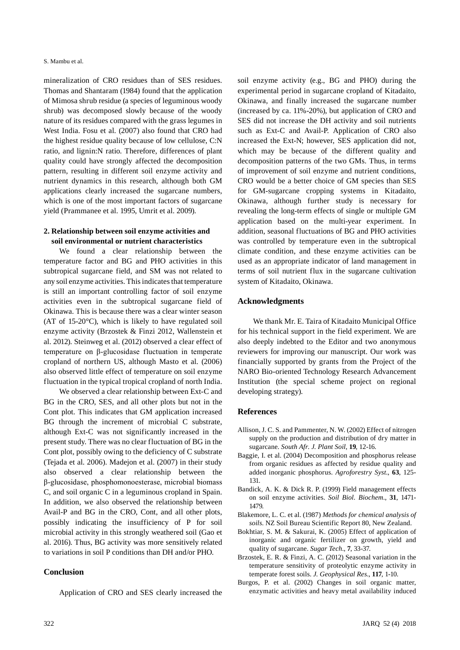mineralization of CRO residues than of SES residues. Thomas and Shantaram (1984) found that the application of Mimosa shrub residue (a species of leguminous woody shrub) was decomposed slowly because of the woody nature of its residues compared with the grass legumes in West India. Fosu et al. (2007) also found that CRO had the highest residue quality because of low cellulose, C:N ratio, and lignin:N ratio. Therefore, differences of plant quality could have strongly affected the decomposition pattern, resulting in different soil enzyme activity and nutrient dynamics in this research, although both GM applications clearly increased the sugarcane numbers, which is one of the most important factors of sugarcane yield (Prammanee et al. 1995, Umrit et al. 2009).

## **2. Relationship between soil enzyme activities and soil environmental or nutrient characteristics**

We found a clear relationship between the temperature factor and BG and PHO activities in this subtropical sugarcane field, and SM was not related to any soil enzyme activities. This indicates that temperature is still an important controlling factor of soil enzyme activities even in the subtropical sugarcane field of Okinawa. This is because there was a clear winter season (AT of 15-20°C), which is likely to have regulated soil enzyme activity (Brzostek & Finzi 2012, Wallenstein et al. 2012). Steinweg et al. (2012) observed a clear effect of temperature on β-glucosidase fluctuation in temperate cropland of northern US, although Masto et al. (2006) also observed little effect of temperature on soil enzyme fluctuation in the typical tropical cropland of north India.

We observed a clear relationship between Ext-C and BG in the CRO, SES, and all other plots but not in the Cont plot. This indicates that GM application increased BG through the increment of microbial C substrate, although Ext-C was not significantly increased in the present study. There was no clear fluctuation of BG in the Cont plot, possibly owing to the deficiency of C substrate (Tejada et al. 2006). Madejon et al. (2007) in their study also observed a clear relationship between the β-glucosidase, phosphomonoesterase, microbial biomass C, and soil organic C in a leguminous cropland in Spain. In addition, we also observed the relationship between Avail-P and BG in the CRO, Cont, and all other plots, possibly indicating the insufficiency of P for soil microbial activity in this strongly weathered soil (Gao et al. 2016). Thus, BG activity was more sensitively related to variations in soil P conditions than DH and/or PHO.

## **Conclusion**

Application of CRO and SES clearly increased the

soil enzyme activity (e.g., BG and PHO) during the experimental period in sugarcane cropland of Kitadaito, Okinawa, and finally increased the sugarcane number (increased by ca. 11%-20%), but application of CRO and SES did not increase the DH activity and soil nutrients such as Ext-C and Avail-P. Application of CRO also increased the Ext-N; however, SES application did not, which may be because of the different quality and decomposition patterns of the two GMs. Thus, in terms of improvement of soil enzyme and nutrient conditions, CRO would be a better choice of GM species than SES for GM-sugarcane cropping systems in Kitadaito, Okinawa, although further study is necessary for revealing the long-term effects of single or multiple GM application based on the multi-year experiment. In addition, seasonal fluctuations of BG and PHO activities was controlled by temperature even in the subtropical climate condition, and these enzyme activities can be used as an appropriate indicator of land management in terms of soil nutrient flux in the sugarcane cultivation system of Kitadaito, Okinawa.

## **Acknowledgments**

We thank Mr. E. Taira of Kitadaito Municipal Office for his technical support in the field experiment. We are also deeply indebted to the Editor and two anonymous reviewers for improving our manuscript. Our work was financially supported by grants from the Project of the NARO Bio-oriented Technology Research Advancement Institution (the special scheme project on regional developing strategy).

#### **References**

- Allison, J. C. S. and Pammenter, N. W. (2002) Effect of nitrogen supply on the production and distribution of dry matter in sugarcane. *South Afr. J. Plant Soil*, **19**, 12-16.
- Baggie, I. et al. (2004) Decomposition and phosphorus release from organic residues as affected by residue quality and added inorganic phosphorus. *Agroforestry Syst*., **63**, 125- 131.
- Bandick, A. K. & Dick R. P. (1999) Field management effects on soil enzyme activities. *Soil Biol. Biochem*., **31**, 1471- 1479.
- Blakemore, L. C. et al. (1987) *Methods for chemical analysis of soils*. NZ Soil Bureau Scientific Report 80, New Zealand.
- Bokhtiar, S. M. & Sakurai, K. (2005) Effect of application of inorganic and organic fertilizer on growth, yield and quality of sugarcane. *Sugar Tech*., **7**, 33-37.
- Brzostek, E. R. & Finzi, A. C. (2012) Seasonal variation in the temperature sensitivity of proteolytic enzyme activity in temperate forest soils. *J. Geophysical Res*., **117**, 1-10.
- Burgos, P. et al. (2002) Changes in soil organic matter, enzymatic activities and heavy metal availability induced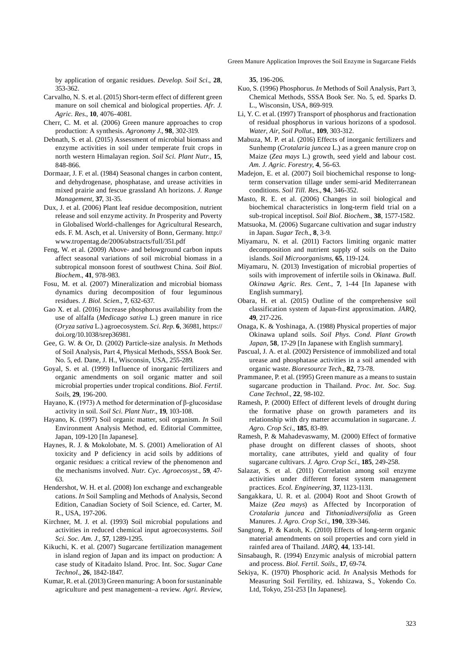Green Manure Application Improves the Soil Enzyme in Sugarcane Fields

by application of organic residues. *Develop. Soil Sci*., **28**, 353-362.

- Carvalho, N. S. et al. (2015) Short-term effect of different green manure on soil chemical and biological properties. *Afr. J. Agric. Res*., **10**, 4076-4081.
- Cherr, C. M. et al. (2006) Green manure approaches to crop production: A synthesis. *Agronomy J*., **98**, 302-319.
- Debnath, S. et al. (2015) Assessment of microbial biomass and enzyme activities in soil under temperate fruit crops in north western Himalayan region. *Soil Sci. Plant Nutr*., **15**, 848-866.
- Dormaar, J. F. et al. (1984) Seasonal changes in carbon content, and dehydrogenase, phosphatase, and urease activities in mixed prairie and fescue grassland Ah horizons. *J. Range Management*, **37**, 31-35.
- Dux, J. et al. (2006) Plant leaf residue decomposition, nutrient release and soil enzyme activity. *In* Prosperity and Poverty in Globalised World-challenges for Agricultural Research, eds. F. M. Asch, et al. University of Bonn, Germany. http:// www.tropentag.de/2006/abstracts/full/351.pdf
- Feng, W. et al. (2009) Above- and belowground carbon inputs affect seasonal variations of soil microbial biomass in a subtropical monsoon forest of southwest China. *Soil Biol. Biochem*., **41**, 978-983.
- Fosu, M. et al. (2007) Mineralization and microbial biomass dynamics during decomposition of four leguminous residues. *J. Biol. Scien*., **7**, 632-637.
- Gao X. et al. (2016) Increase phosphorus availability from the use of alfalfa (*Medicago sativa* L.) green manure in rice (*Oryza sativa* L.) agroecosystem. *Sci. Rep*. **6**, 36981, https:// doi.org/10.1038/srep36981.
- Gee, G. W. & Or, D. (2002) Particle-size analysis. *In* Methods of Soil Analysis, Part 4, Physical Methods, SSSA Book Ser. No. 5, ed. Dane, J. H., Wisconsin, USA, 255-289.
- Goyal, S. et al. (1999) Influence of inorganic fertilizers and organic amendments on soil organic matter and soil microbial properties under tropical conditions. *Biol. Fertil. Soils*, **29**, 196-200.
- Hayano, K. (1973) A method for determination of β-glucosidase activity in soil. *Soil Sci. Plant Nutr*., **19**, 103-108.
- Hayano, K. (1997) Soil organic matter, soil organism. *In* Soil Environment Analysis Method, ed. Editorial Committee, Japan, 109-120 [In Japanese].
- Haynes, R. J. & Mokolobate, M. S. (2001) Amelioration of Al toxicity and P deficiency in acid soils by additions of organic residues: a critical review of the phenomenon and the mechanisms involved. *Nutr. Cyc. Agroecosyst*.*,* **59**, 47- 63.
- Hendershot, W. H. et al. (2008) Ion exchange and exchangeable cations. *In* Soil Sampling and Methods of Analysis, Second Edition, Canadian Society of Soil Science, ed. Carter, M. R., USA, 197-206.
- Kirchner, M. J. et al. (1993) Soil microbial populations and activities in reduced chemical input agroecosystems. *Soil Sci. Soc. Am. J*., **57**, 1289-1295.
- Kikuchi, K. et al. (2007) Sugarcane fertilization management in island region of Japan and its impact on production: A case study of Kitadaito Island. Proc. Int. Soc. *Sugar Cane Technol*., **26**, 1842-1847.
- Kumar, R. et al. (2013) Green manuring: A boon for sustaninable agriculture and pest management–a review. *Agri. Review*,

**35**, 196-206.

- Kuo, S. (1996) Phosphorus. *In* Methods of Soil Analysis, Part 3, Chemical Methods, SSSA Book Ser. No. 5, ed. Sparks D. L., Wisconsin, USA, 869-919.
- Li, Y. C. et al. (1997) Transport of phosphorus and fractionation of residual phosphorus in various horizons of a spodosol. *Water, Air, Soil Pollut*., **109**, 303-312.
- Mabuza, M. P. et al. (2016) Effects of inorganic fertilizers and Sunhemp (*Crotalaria juncea* L.) as a green manure crop on Maize (*Zea mays* L.) growth, seed yield and labour cost. *Am. J. Agric. Forestry*, **4**, 56-63.
- Madejon, E. et al. (2007) Soil biochemichal response to longterm conservation tillage under semi-arid Mediterranean conditions. *Soil Till. Res*., **94**, 346-352.
- Masto, R. E. et al. (2006) Changes in soil biological and biochemical characteristics in long-term field trial on a sub-tropical inceptisol. *Soil Biol. Biochem*., **38**, 1577-1582.
- Matsuoka, M. (2006) Sugarcane cultivation and sugar industry in Japan. *Sugar Tech*., **8**, 3-9.
- Miyamaru, N. et al. (2011) Factors limiting organic matter decomposition and nutrient supply of soils on the Daito islands. *Soil Microorganisms*, **65**, 119-124.
- Miyamaru, N. (2013) Investigation of microbial properties of soils with improvement of infertile soils in Okinawa. *Bull. Okinawa Agric. Res. Cent.*, **7**, 1-44 [In Japanese with English summary].
- Obara, H. et al. (2015) Outline of the comprehensive soil classification system of Japan-first approximation. *JARQ*, **49**, 217-226.
- Onaga, K. & Yoshinaga, A. (1988) Physical properties of major Okinawa upland soils. *Soil Phys. Cond. Plant Growth Japan*, **58**, 17-29 [In Japanese with English summary].
- Pascual, J. A. et al. (2002) Persistence of immobilized and total urease and phosphatase activities in a soil amended with organic waste. *Bioresource Tech*., **82**, 73-78.
- Prammanee, P. et al. (1995) Green manure as a means to sustain sugarcane production in Thailand. *Proc. Int. Soc. Sug. Cane Technol*., **22**, 98-102.
- Ramesh, P. (2000) Effect of different levels of drought during the formative phase on growth parameters and its relationship with dry matter accumulation in sugarcane. *J. Agro. Crop Sci*., **185**, 83-89.
- Ramesh, P. & Mahadevaswamy, M. (2000) Effect of formative phase drought on different classes of shoots, shoot mortality, cane attributes, yield and quality of four sugarcane cultivars. *J. Agro. Crop Sci*., **185**, 249-258.
- Salazar, S. et al. (2011) Correlation among soil enzyme activities under different forest system management practices. *Ecol. Engineering*, **37**, 1123-1131.
- Sangakkara, U. R. et al. (2004) Root and Shoot Growth of Maize (*Zea mays*) as Affected by Incorporation of *Crotalaria juncea* and *Tithoniadiversifolia* as Green Manures. *J. Agro. Crop Sci*., **190**, 339-346.
- Sangtong, P. & Katoh, K. (2010) Effects of long-term organic material amendments on soil properties and corn yield in rainfed area of Thailand. *JARQ*, **44**, 133-141.
- Sinsabaugh, R. (1994) Enzymic analysis of microbial pattern and process. *Biol. Fertil. Soils*., **17**, 69-74.
- Sekiya, K. (1970) Phosphoric acid. *In* Analysis Methods for Measuring Soil Fertility, ed. Ishizawa, S., Yokendo Co. Ltd, Tokyo, 251-253 [In Japanese].